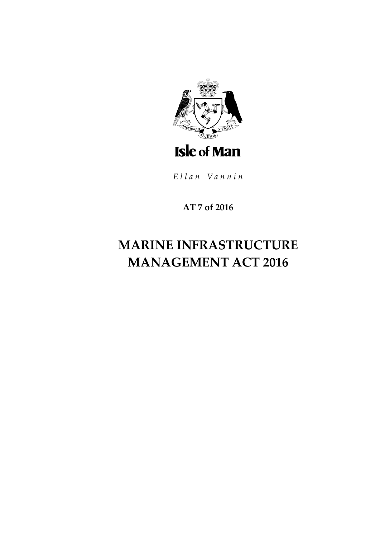

Ellan Vannin

**AT 7 of 2016**

# **MARINE INFRASTRUCTURE MANAGEMENT ACT 2016**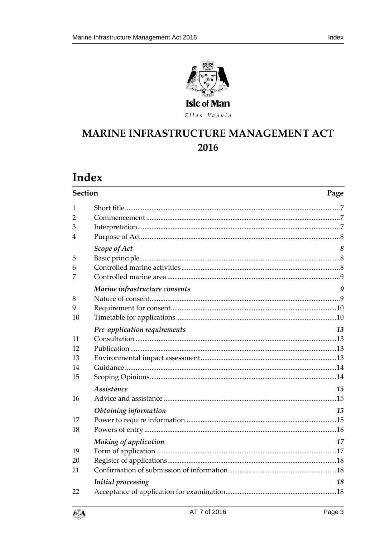

Ellan Vannin

### MARINE INFRASTRUCTURE MANAGEMENT ACT 2016

## Index

| <b>Section</b>                |                                             | Page     |
|-------------------------------|---------------------------------------------|----------|
| 1<br>$\overline{2}$<br>3<br>4 |                                             |          |
| 5<br>6<br>7                   | Scope of Act                                | 8        |
| 8<br>9<br>10                  | Marine infrastructure consents              | 9        |
| 11<br>12<br>13<br>14<br>15    | Pre-application requirements                | 13       |
| 16                            | Assistance                                  | 15       |
| 17<br>18                      | Obtaining information                       | 15       |
| 19<br>20<br>21                | Making of application<br>Initial processing | 17<br>18 |
| 22                            |                                             |          |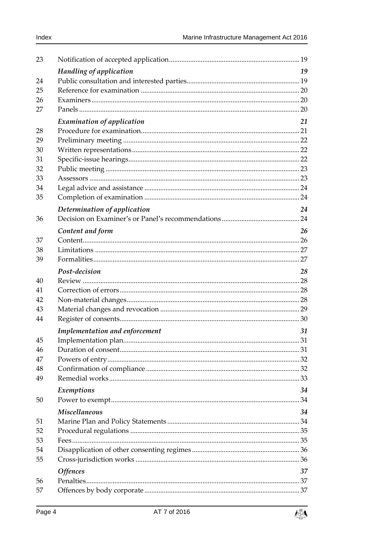| 23 |                                   |    |
|----|-----------------------------------|----|
|    | Handling of application           | 19 |
| 24 |                                   |    |
| 25 |                                   |    |
| 26 |                                   |    |
| 27 |                                   |    |
|    | <b>Examination of application</b> | 21 |
| 28 |                                   |    |
| 29 |                                   |    |
| 30 |                                   |    |
| 31 |                                   |    |
| 32 |                                   |    |
| 33 |                                   |    |
| 34 |                                   |    |
| 35 |                                   |    |
|    | Determination of application      | 24 |
| 36 |                                   |    |
|    | Content and form                  | 26 |
| 37 |                                   |    |
| 38 |                                   |    |
| 39 |                                   |    |
|    | Post-decision                     | 28 |
| 40 |                                   |    |
| 41 |                                   |    |
| 42 |                                   |    |
| 43 |                                   |    |
| 44 |                                   |    |
|    | Implementation and enforcement    | 31 |
| 45 |                                   |    |
| 46 |                                   |    |
| 47 |                                   |    |
| 48 |                                   |    |
| 49 |                                   |    |
|    | Exemptions                        | 34 |
| 50 |                                   |    |
|    | <b>Miscellaneous</b>              | 34 |
| 51 |                                   |    |
| 52 |                                   |    |
| 53 |                                   |    |
| 54 |                                   |    |
| 55 |                                   |    |
|    | <b>Offences</b>                   | 37 |
| 56 |                                   |    |
| 57 |                                   |    |

變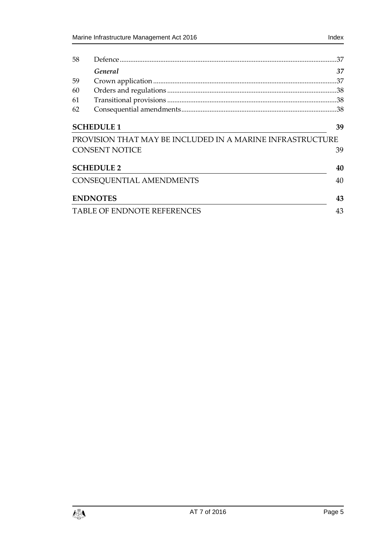| 58 |                                                           | .37 |
|----|-----------------------------------------------------------|-----|
|    | General                                                   | 37  |
| 59 |                                                           |     |
| 60 |                                                           |     |
| 61 |                                                           |     |
| 62 |                                                           |     |
|    | <b>SCHEDULE 1</b>                                         | 39  |
|    | PROVISION THAT MAY BE INCLUDED IN A MARINE INFRASTRUCTURE |     |
|    | <b>CONSENT NOTICE</b>                                     | 39  |
|    | <b>SCHEDULE 2</b>                                         | 40  |
|    | CONSEQUENTIAL AMENDMENTS                                  | 40  |
|    | <b>ENDNOTES</b>                                           | 43  |
|    | TABLE OF ENDNOTE REFERENCES                               | 43  |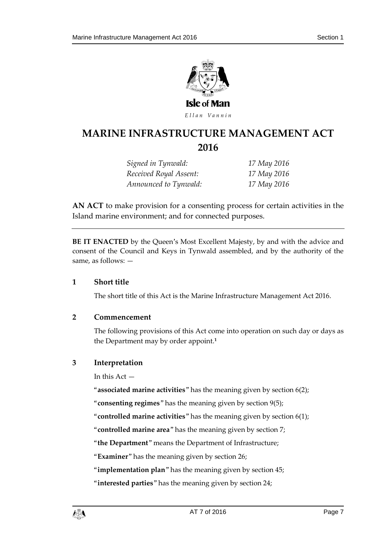

Ellan Vannin

### **MARINE INFRASTRUCTUR E MANAGEMENT ACT 2016**

*Signed in Tynwald: 17 May 2016 Received Royal Assent: 17 May 2016 Announced to Tynwald: 17 May 2016*

**AN ACT** to make provision for a consenting process for certain activities in the Island marine environment; and for connected purposes.

**BE IT ENACTED** by the Queen's Most Excellent Majesty, by and with the advice and consent of the Council and Keys in Tynwald assembled, and by the authority of the same, as follows: —

#### <span id="page-6-0"></span>**1 Short title**

The short title of this Act is the Marine Infrastructure Management Act 2016.

#### <span id="page-6-1"></span>**2 Commencement**

The following provisions of this Act come into operation on such day or days as the Department may by order appoint.**<sup>1</sup>**

#### <span id="page-6-2"></span>**3 Interpretation**

In this Act —

"**associated marine activities**" has the meaning given by section 6(2);

"**consenting regimes**" has the meaning given by section 9(5);

"**controlled marine activities**" has the meaning given by section 6(1);

"**controlled marine area**" has the meaning given by section 7;

"**the Department**" means the Department of Infrastructure;

"**Examiner**" has the meaning given by section 26;

"**implementation plan**" has the meaning given by section 45;

"**interested parties**" has the meaning given by section 24;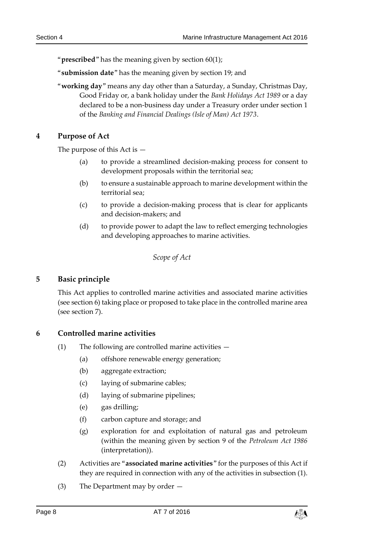"**prescribed**" has the meaning given by section 60(1);

"**submission date**" has the meaning given by section 19; and

"**working day**" means any day other than a Saturday, a Sunday, Christmas Day, Good Friday or, a bank holiday under the *Bank Holidays Act 1989* or a day declared to be a non-business day under a Treasury order under section 1 of the *Banking and Financial Dealings (Isle of Man) Act 1973*.

#### <span id="page-7-0"></span>**4 Purpose of Act**

The purpose of this Act is —

- (a) to provide a streamlined decision-making process for consent to development proposals within the territorial sea;
- (b) to ensure a sustainable approach to marine development within the territorial sea;
- (c) to provide a decision-making process that is clear for applicants and decision-makers; and
- (d) to provide power to adapt the law to reflect emerging technologies and developing approaches to marine activities.

*Scope of Act*

#### <span id="page-7-2"></span><span id="page-7-1"></span>**5 Basic principle**

This Act applies to controlled marine activities and associated marine activities (see section [6\)](#page-7-3) taking place or proposed to take place in the controlled marine area (see section [7\)](#page-8-0).

#### <span id="page-7-4"></span><span id="page-7-3"></span>**6 Controlled marine activities**

- (1) The following are controlled marine activities
	- (a) offshore renewable energy generation;
	- (b) aggregate extraction;
	- (c) laying of submarine cables;
	- (d) laying of submarine pipelines;
	- (e) gas drilling;
	- (f) carbon capture and storage; and
	- (g) exploration for and exploitation of natural gas and petroleum (within the meaning given by section 9 of the *Petroleum Act 1986* (interpretation)).
- <span id="page-7-5"></span>(2) Activities are "**associated marine activities**" for the purposes of this Act if they are required in connection with any of the activities in subsection (1).
- <span id="page-7-6"></span>(3) The Department may by order —

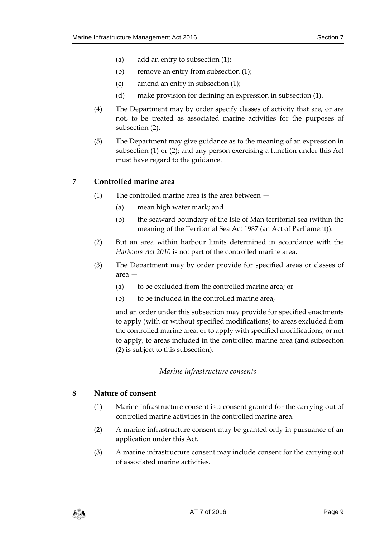- (a) add an entry to subsection [\(1\);](#page-7-4)
- (b) remove an entry from subsection [\(1\);](#page-7-4)
- (c) amend an entry in subsection [\(1\);](#page-7-4)
- (d) make provision for defining an expression in subsection [\(1\).](#page-7-4)
- <span id="page-8-4"></span>(4) The Department may by order specify classes of activity that are, or are not, to be treated as associated marine activities for the purposes of subsection [\(2\).](#page-7-5)
- (5) The Department may give guidance as to the meaning of an expression in subsection [\(1\)](#page-7-4) or [\(2\);](#page-7-5) and any person exercising a function under this Act must have regard to the guidance.

#### <span id="page-8-0"></span>**7 Controlled marine area**

- (1) The controlled marine area is the area between  $-$ 
	- (a) mean high water mark; and
	- (b) the seaward boundary of the Isle of Man territorial sea (within the meaning of the Territorial Sea Act 1987 (an Act of Parliament)).
- <span id="page-8-3"></span>(2) But an area within harbour limits determined in accordance with the *Harbours Act 2010* is not part of the controlled marine area.
- <span id="page-8-5"></span>(3) The Department may by order provide for specified areas or classes of area —
	- (a) to be excluded from the controlled marine area; or
	- (b) to be included in the controlled marine area,

and an order under this subsection may provide for specified enactments to apply (with or without specified modifications) to areas excluded from the controlled marine area, or to apply with specified modifications, or not to apply, to areas included in the controlled marine area (and subsection [\(2\)](#page-8-3) is subject to this subsection).

#### *Marine infrastructure consents*

#### <span id="page-8-2"></span><span id="page-8-1"></span>**8 Nature of consent**

- (1) Marine infrastructure consent is a consent granted for the carrying out of controlled marine activities in the controlled marine area.
- (2) A marine infrastructure consent may be granted only in pursuance of an application under this Act.
- (3) A marine infrastructure consent may include consent for the carrying out of associated marine activities.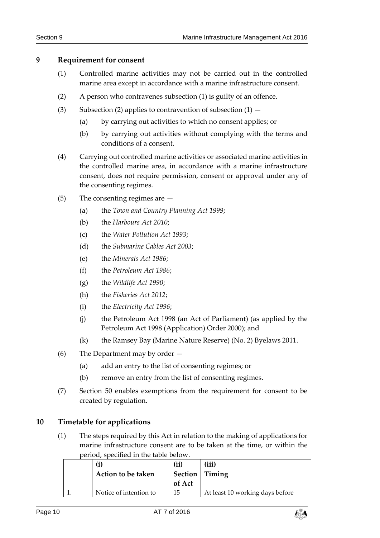#### <span id="page-9-2"></span><span id="page-9-0"></span>**9 Requirement for consent**

- (1) Controlled marine activities may not be carried out in the controlled marine area except in accordance with a marine infrastructure consent.
- <span id="page-9-3"></span>(2) A person who contravenes subsection [\(1\)](#page-9-2) is guilty of an offence.
- (3) Subsection [\(2\)](#page-9-3) applies to contravention of subsection  $(1)$ 
	- (a) by carrying out activities to which no consent applies; or
	- (b) by carrying out activities without complying with the terms and conditions of a consent.
- (4) Carrying out controlled marine activities or associated marine activities in the controlled marine area, in accordance with a marine infrastructure consent, does not require permission, consent or approval under any of the consenting regimes.
- (5) The consenting regimes are
	- (a) the *Town and Country Planning Act 1999*;
	- (b) the *Harbours Act 2010*;
	- (c) the *Water Pollution Act 1993*;
	- (d) the *Submarine Cables Act 2003*;
	- (e) the *Minerals Act 1986*;
	- (f) the *Petroleum Act 1986*;
	- (g) the *Wildlife Act 1990*;
	- (h) the *Fisheries Act 2012*;
	- (i) the *Electricity Act 1996*;
	- (j) the Petroleum Act 1998 (an Act of Parliament) (as applied by the Petroleum Act 1998 (Application) Order 2000); and
	- (k) the Ramsey Bay (Marine Nature Reserve) (No. 2) Byelaws 2011.
- <span id="page-9-4"></span>(6) The Department may by order —
	- (a) add an entry to the list of consenting regimes; or
	- (b) remove an entry from the list of consenting regimes.
- (7) Section [50](#page-33-1) enables exemptions from the requirement for consent to be created by regulation.

#### <span id="page-9-1"></span>**10 Timetable for applications**

(1) The steps required by this Act in relation to the making of applications for marine infrastructure consent are to be taken at the time, or within the period, specified in the table below.

| $\bf (i)$<br>Action to be taken | (ii)<br><b>Section</b>   Timing<br>of Act | (iii)                           |
|---------------------------------|-------------------------------------------|---------------------------------|
| Notice of intention to          | 15                                        | At least 10 working days before |

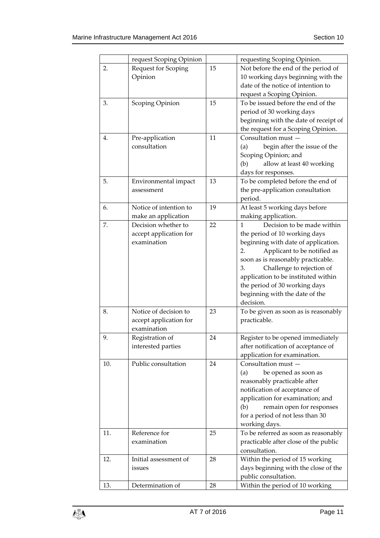|     | request Scoping Opinion |    | requesting Scoping Opinion.           |
|-----|-------------------------|----|---------------------------------------|
| 2.  | Request for Scoping     | 15 | Not before the end of the period of   |
|     | Opinion                 |    | 10 working days beginning with the    |
|     |                         |    | date of the notice of intention to    |
|     |                         |    | request a Scoping Opinion.            |
| 3.  | Scoping Opinion         | 15 | To be issued before the end of the    |
|     |                         |    | period of 30 working days             |
|     |                         |    | beginning with the date of receipt of |
|     |                         |    | the request for a Scoping Opinion.    |
| 4.  | Pre-application         | 11 | Consultation must -                   |
|     | consultation            |    | begin after the issue of the<br>(a)   |
|     |                         |    | Scoping Opinion; and                  |
|     |                         |    | allow at least 40 working<br>(b)      |
|     |                         |    | days for responses.                   |
| 5.  |                         | 13 |                                       |
|     | Environmental impact    |    | To be completed before the end of     |
|     | assessment              |    | the pre-application consultation      |
|     |                         |    | period.                               |
| 6.  | Notice of intention to  | 19 | At least 5 working days before        |
|     | make an application     |    | making application.                   |
| 7.  | Decision whether to     | 22 | Decision to be made within<br>1       |
|     | accept application for  |    | the period of 10 working days         |
|     | examination             |    | beginning with date of application.   |
|     |                         |    | 2.<br>Applicant to be notified as     |
|     |                         |    | soon as is reasonably practicable.    |
|     |                         |    | Challenge to rejection of<br>3.       |
|     |                         |    | application to be instituted within   |
|     |                         |    | the period of 30 working days         |
|     |                         |    | beginning with the date of the        |
|     |                         |    | decision.                             |
| 8.  | Notice of decision to   | 23 | To be given as soon as is reasonably  |
|     | accept application for  |    | practicable.                          |
|     | examination             |    |                                       |
| 9.  | Registration of         | 24 | Register to be opened immediately     |
|     | interested parties      |    | after notification of acceptance of   |
|     |                         |    | application for examination.          |
|     | Public consultation     | 24 | Consultation must -                   |
| 10. |                         |    |                                       |
|     |                         |    | be opened as soon as<br>(a)           |
|     |                         |    | reasonably practicable after          |
|     |                         |    | notification of acceptance of         |
|     |                         |    | application for examination; and      |
|     |                         |    | remain open for responses<br>(b)      |
|     |                         |    | for a period of not less than 30      |
|     |                         |    | working days.                         |
| 11. | Reference for           | 25 | To be referred as soon as reasonably  |
|     | examination             |    | practicable after close of the public |
|     |                         |    | consultation.                         |
| 12. | Initial assessment of   | 28 | Within the period of 15 working       |
|     | issues                  |    | days beginning with the close of the  |
|     |                         |    | public consultation.                  |
| 13. | Determination of        | 28 | Within the period of 10 working       |
|     |                         |    |                                       |

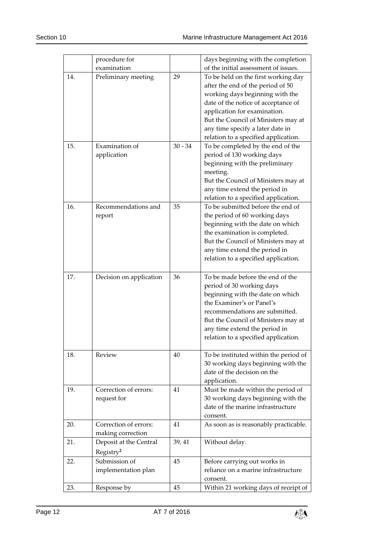|     | procedure for           |           | days beginning with the completion                            |
|-----|-------------------------|-----------|---------------------------------------------------------------|
|     | examination             |           | of the initial assessment of issues.                          |
| 14. | Preliminary meeting     | 29        | To be held on the first working day                           |
|     |                         |           | after the end of the period of 50                             |
|     |                         |           | working days beginning with the                               |
|     |                         |           | date of the notice of acceptance of                           |
|     |                         |           | application for examination.                                  |
|     |                         |           | But the Council of Ministers may at                           |
|     |                         |           | any time specify a later date in                              |
|     |                         |           | relation to a specified application.                          |
| 15. | Examination of          | $30 - 34$ | To be completed by the end of the                             |
|     | application             |           | period of 130 working days                                    |
|     |                         |           | beginning with the preliminary                                |
|     |                         |           | meeting.                                                      |
|     |                         |           | But the Council of Ministers may at                           |
|     |                         |           | any time extend the period in                                 |
|     |                         |           | relation to a specified application.                          |
| 16. | Recommendations and     | 35        | To be submitted before the end of                             |
|     | report                  |           | the period of 60 working days                                 |
|     |                         |           | beginning with the date on which                              |
|     |                         |           | the examination is completed.                                 |
|     |                         |           | But the Council of Ministers may at                           |
|     |                         |           | any time extend the period in                                 |
|     |                         |           | relation to a specified application.                          |
|     |                         |           |                                                               |
| 17. | Decision on application | 36        | To be made before the end of the                              |
|     |                         |           | period of 30 working days                                     |
|     |                         |           | beginning with the date on which<br>the Examiner's or Panel's |
|     |                         |           | recommendations are submitted.                                |
|     |                         |           |                                                               |
|     |                         |           | But the Council of Ministers may at                           |
|     |                         |           | any time extend the period in                                 |
|     |                         |           | relation to a specified application.                          |
| 18. | Review                  | 40        | To be instituted within the period of                         |
|     |                         |           | 30 working days beginning with the                            |
|     |                         |           | date of the decision on the                                   |
|     |                         |           | application.                                                  |
| 19. | Correction of errors:   | 41        | Must be made within the period of                             |
|     | request for             |           | 30 working days beginning with the                            |
|     |                         |           | date of the marine infrastructure                             |
|     |                         |           | consent.                                                      |
| 20. | Correction of errors:   | 41        | As soon as is reasonably practicable.                         |
|     | making correction       |           |                                                               |
| 21. | Deposit at the Central  | 39, 41    | Without delay.                                                |
|     | Registry <sup>2</sup>   |           |                                                               |
| 22. | Submission of           | 45        | Before carrying out works in                                  |
|     | implementation plan     |           | reliance on a marine infrastructure                           |
|     |                         |           | consent.                                                      |
| 23. | Response by             | 45        | Within 21 working days of receipt of                          |
|     |                         |           |                                                               |

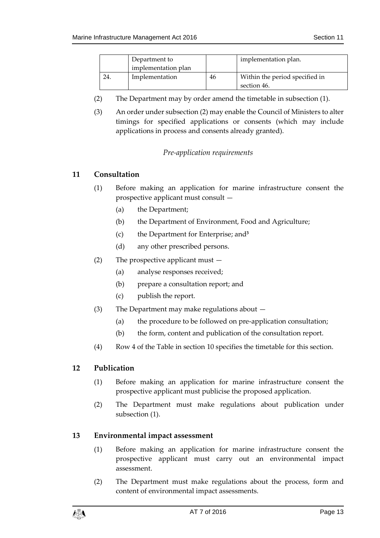|     | Department to       |    | implementation plan.           |
|-----|---------------------|----|--------------------------------|
|     | implementation plan |    |                                |
| 24. | Implementation      | 46 | Within the period specified in |
|     |                     |    | section 46.                    |

- (2) The Department may by order amend the timetable in subsection (1).
- (3) An order under subsection (2) may enable the Council of Ministers to alter timings for specified applications or consents (which may include applications in process and consents already granted).

#### *Pre-application requirements*

#### <span id="page-12-1"></span><span id="page-12-0"></span>**11 Consultation**

- (1) Before making an application for marine infrastructure consent the prospective applicant must consult —
	- (a) the Department;
	- (b) the Department of Environment, Food and Agriculture;
	- (c) the Department for Enterprise; and**<sup>3</sup>**
	- (d) any other prescribed persons.
- (2) The prospective applicant must
	- (a) analyse responses received;
	- (b) prepare a consultation report; and
	- (c) publish the report.
- (3) The Department may make regulations about
	- (a) the procedure to be followed on pre-application consultation;
	- (b) the form, content and publication of the consultation report.
- (4) Row 4 of the Table in section [10](#page-9-1) specifies the timetable for this section.

#### <span id="page-12-4"></span><span id="page-12-2"></span>**12 Publication**

- (1) Before making an application for marine infrastructure consent the prospective applicant must publicise the proposed application.
- (2) The Department must make regulations about publication under subsection [\(1\).](#page-12-4)

#### <span id="page-12-3"></span>**13 Environmental impact assessment**

- (1) Before making an application for marine infrastructure consent the prospective applicant must carry out an environmental impact assessment.
- (2) The Department must make regulations about the process, form and content of environmental impact assessments.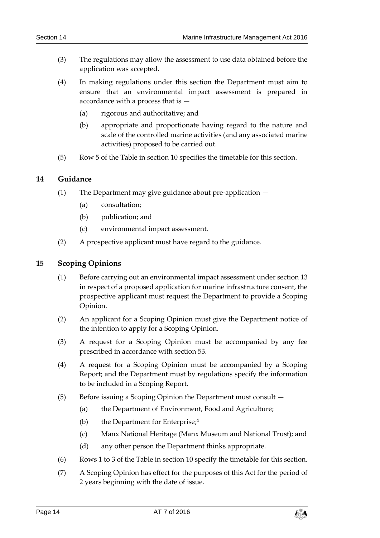- (3) The regulations may allow the assessment to use data obtained before the application was accepted.
- (4) In making regulations under this section the Department must aim to ensure that an environmental impact assessment is prepared in accordance with a process that is —
	- (a) rigorous and authoritative; and
	- (b) appropriate and proportionate having regard to the nature and scale of the controlled marine activities (and any associated marine activities) proposed to be carried out.
- (5) Row 5 of the Table in section [10](#page-9-1) specifies the timetable for this section.

#### <span id="page-13-0"></span>**14 Guidance**

- (1) The Department may give guidance about pre-application
	- (a) consultation;
	- (b) publication; and
	- (c) environmental impact assessment.
- (2) A prospective applicant must have regard to the guidance.

#### <span id="page-13-1"></span>**15 Scoping Opinions**

- (1) Before carrying out an environmental impact assessment under section [13](#page-12-3) in respect of a proposed application for marine infrastructure consent, the prospective applicant must request the Department to provide a Scoping Opinion.
- (2) An applicant for a Scoping Opinion must give the Department notice of the intention to apply for a Scoping Opinion.
- (3) A request for a Scoping Opinion must be accompanied by any fee prescribed in accordance with section [53.](#page-34-1)
- (4) A request for a Scoping Opinion must be accompanied by a Scoping Report; and the Department must by regulations specify the information to be included in a Scoping Report.
- (5) Before issuing a Scoping Opinion the Department must consult
	- (a) the Department of Environment, Food and Agriculture;
	- (b) the Department for Enterprise; **4**
	- (c) Manx National Heritage (Manx Museum and National Trust); and
	- (d) any other person the Department thinks appropriate.
- (6) Rows 1 to 3 of the Table in section [10](#page-9-1) specify the timetable for this section.
- (7) A Scoping Opinion has effect for the purposes of this Act for the period of 2 years beginning with the date of issue.

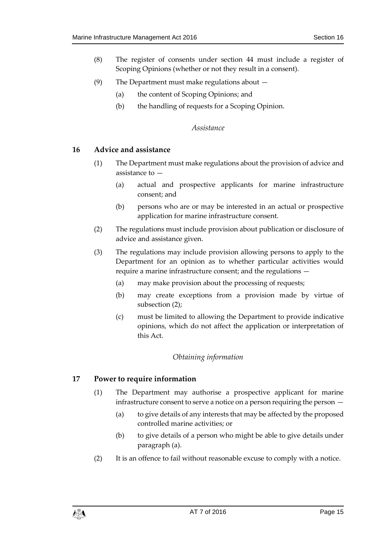- (8) The register of consents under section [44](#page-29-0) must include a register of Scoping Opinions (whether or not they result in a consent).
- (9) The Department must make regulations about
	- (a) the content of Scoping Opinions; and
	- (b) the handling of requests for a Scoping Opinion.

#### *Assistance*

#### <span id="page-14-1"></span><span id="page-14-0"></span>**16 Advice and assistance**

- (1) The Department must make regulations about the provision of advice and assistance to —
	- (a) actual and prospective applicants for marine infrastructure consent; and
	- (b) persons who are or may be interested in an actual or prospective application for marine infrastructure consent.
- <span id="page-14-4"></span>(2) The regulations must include provision about publication or disclosure of advice and assistance given.
- (3) The regulations may include provision allowing persons to apply to the Department for an opinion as to whether particular activities would require a marine infrastructure consent; and the regulations —
	- (a) may make provision about the processing of requests;
	- (b) may create exceptions from a provision made by virtue of subsection [\(2\);](#page-14-4)
	- (c) must be limited to allowing the Department to provide indicative opinions, which do not affect the application or interpretation of this Act.

#### *Obtaining information*

#### <span id="page-14-3"></span><span id="page-14-2"></span>**17 Power to require information**

- (1) The Department may authorise a prospective applicant for marine infrastructure consent to serve a notice on a person requiring the person —
	- (a) to give details of any interests that may be affected by the proposed controlled marine activities; or
	- (b) to give details of a person who might be able to give details under paragraph (a).
- (2) It is an offence to fail without reasonable excuse to comply with a notice.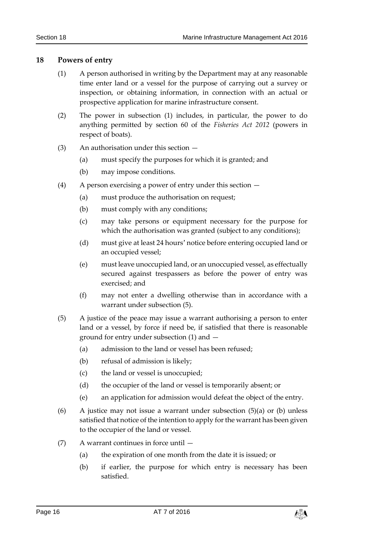#### <span id="page-15-1"></span><span id="page-15-0"></span>**18 Powers of entry**

- (1) A person authorised in writing by the Department may at any reasonable time enter land or a vessel for the purpose of carrying out a survey or inspection, or obtaining information, in connection with an actual or prospective application for marine infrastructure consent.
- (2) The power in subsection [\(1\)](#page-15-1) includes, in particular, the power to do anything permitted by section 60 of the *Fisheries Act 2012* (powers in respect of boats).
- (3) An authorisation under this section
	- (a) must specify the purposes for which it is granted; and
	- (b) may impose conditions.
- (4) A person exercising a power of entry under this section
	- (a) must produce the authorisation on request;
	- (b) must comply with any conditions;
	- (c) may take persons or equipment necessary for the purpose for which the authorisation was granted (subject to any conditions);
	- (d) must give at least 24 hours' notice before entering occupied land or an occupied vessel;
	- (e) must leave unoccupied land, or an unoccupied vessel, as effectually secured against trespassers as before the power of entry was exercised; and
	- (f) may not enter a dwelling otherwise than in accordance with a warrant under subsection [\(5\).](#page-15-2)
- <span id="page-15-2"></span>(5) A justice of the peace may issue a warrant authorising a person to enter land or a vessel, by force if need be, if satisfied that there is reasonable ground for entry under subsection [\(1\)](#page-15-1) and —
	- (a) admission to the land or vessel has been refused;
	- (b) refusal of admission is likely;
	- (c) the land or vessel is unoccupied;
	- (d) the occupier of the land or vessel is temporarily absent; or
	- (e) an application for admission would defeat the object of the entry.
- (6) A justice may not issue a warrant under subsection  $(5)(a)$  or (b) unless satisfied that notice of the intention to apply for the warrant has been given to the occupier of the land or vessel.
- (7) A warrant continues in force until
	- (a) the expiration of one month from the date it is issued; or
	- (b) if earlier, the purpose for which entry is necessary has been satisfied.

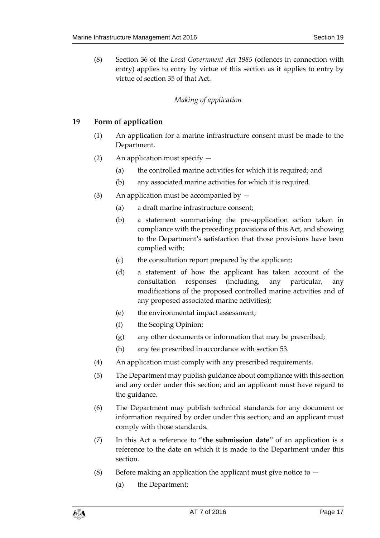(8) Section 36 of the *Local Government Act 1985* (offences in connection with entry) applies to entry by virtue of this section as it applies to entry by virtue of section 35 of that Act.

#### *Making of application*

#### <span id="page-16-1"></span><span id="page-16-0"></span>**19 Form of application**

- (1) An application for a marine infrastructure consent must be made to the Department.
- (2) An application must specify
	- (a) the controlled marine activities for which it is required; and
	- (b) any associated marine activities for which it is required.
- (3) An application must be accompanied by  $-$ 
	- (a) a draft marine infrastructure consent;
	- (b) a statement summarising the pre-application action taken in compliance with the preceding provisions of this Act, and showing to the Department's satisfaction that those provisions have been complied with;
	- (c) the consultation report prepared by the applicant;
	- (d) a statement of how the applicant has taken account of the consultation responses (including, any particular, any modifications of the proposed controlled marine activities and of any proposed associated marine activities);
	- (e) the environmental impact assessment;
	- (f) the Scoping Opinion;
	- (g) any other documents or information that may be prescribed;
	- (h) any fee prescribed in accordance with section [53.](#page-34-1)
- (4) An application must comply with any prescribed requirements.
- (5) The Department may publish guidance about compliance with this section and any order under this section; and an applicant must have regard to the guidance.
- (6) The Department may publish technical standards for any document or information required by order under this section; and an applicant must comply with those standards.
- (7) In this Act a reference to "**the submission date**" of an application is a reference to the date on which it is made to the Department under this section.
- <span id="page-16-2"></span>(8) Before making an application the applicant must give notice to  $-$ 
	- (a) the Department;

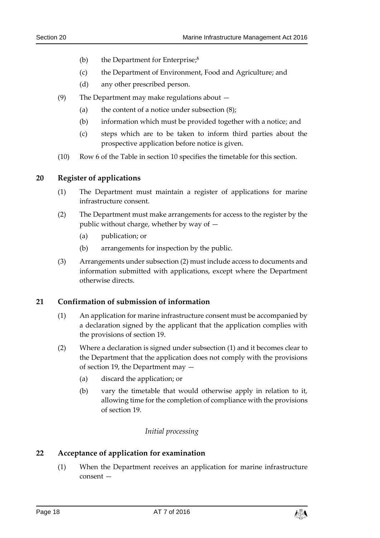- (b) the Department for Enterprise; **5**
- (c) the Department of Environment, Food and Agriculture; and
- (d) any other prescribed person.
- (9) The Department may make regulations about
	- (a) the content of a notice under subsection [\(8\);](#page-16-2)
	- (b) information which must be provided together with a notice; and
	- (c) steps which are to be taken to inform third parties about the prospective application before notice is given.
- (10) Row 6 of the Table in section [10](#page-9-1) specifies the timetable for this section.

#### <span id="page-17-0"></span>**20 Register of applications**

- (1) The Department must maintain a register of applications for marine infrastructure consent.
- <span id="page-17-4"></span>(2) The Department must make arrangements for access to the register by the public without charge, whether by way of —
	- (a) publication; or
	- (b) arrangements for inspection by the public.
- (3) Arrangements under subsectio[n \(2\)](#page-17-4) must include access to documents and information submitted with applications, except where the Department otherwise directs.

#### <span id="page-17-5"></span><span id="page-17-1"></span>**21 Confirmation of submission of information**

- (1) An application for marine infrastructure consent must be accompanied by a declaration signed by the applicant that the application complies with the provisions of section [19.](#page-16-1)
- <span id="page-17-6"></span>(2) Where a declaration is signed under subsection [\(1\)](#page-17-5) and it becomes clear to the Department that the application does not comply with the provisions of section [19,](#page-16-1) the Department may —
	- (a) discard the application; or
	- (b) vary the timetable that would otherwise apply in relation to it, allowing time for the completion of compliance with the provisions of section [19.](#page-16-1)

#### *Initial processing*

#### <span id="page-17-3"></span><span id="page-17-2"></span>**22 Acceptance of application for examination**

(1) When the Department receives an application for marine infrastructure consent —

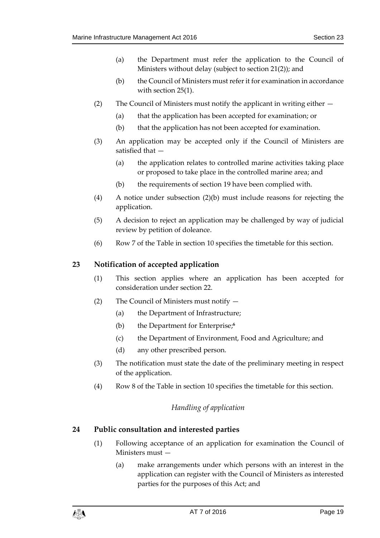- (a) the Department must refer the application to the Council of Ministers without delay (subject to section [21\(2\)\)](#page-17-6); and
- (b) the Council of Ministers must refer it for examination in accordance with section 25(1).
- <span id="page-18-3"></span>(2) The Council of Ministers must notify the applicant in writing either —
	- (a) that the application has been accepted for examination; or
	- (b) that the application has not been accepted for examination.
- (3) An application may be accepted only if the Council of Ministers are satisfied that —
	- (a) the application relates to controlled marine activities taking place or proposed to take place in the controlled marine area; and
	- (b) the requirements of section [19](#page-16-1) have been complied with.
- (4) A notice under subsection [\(2\)\(](#page-18-3)b) must include reasons for rejecting the application.
- (5) A decision to reject an application may be challenged by way of judicial review by petition of doleance.
- (6) Row 7 of the Table in section [10](#page-9-1) specifies the timetable for this section.

#### <span id="page-18-0"></span>**23 Notification of accepted application**

- (1) This section applies where an application has been accepted for consideration under section [22.](#page-17-3)
- (2) The Council of Ministers must notify
	- (a) the Department of Infrastructure;
	- (b) the Department for Enterprise; **6**
	- (c) the Department of Environment, Food and Agriculture; and
	- (d) any other prescribed person.
- (3) The notification must state the date of the preliminary meeting in respect of the application.
- <span id="page-18-1"></span>(4) Row 8 of the Table in section [10](#page-9-1) specifies the timetable for this section.

#### *Handling of application*

#### <span id="page-18-2"></span>**24 Public consultation and interested parties**

- (1) Following acceptance of an application for examination the Council of Ministers must —
	- (a) make arrangements under which persons with an interest in the application can register with the Council of Ministers as interested parties for the purposes of this Act; and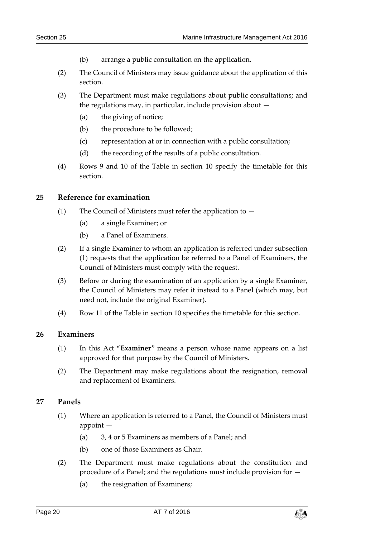- (b) arrange a public consultation on the application.
- (2) The Council of Ministers may issue guidance about the application of this section.
- (3) The Department must make regulations about public consultations; and the regulations may, in particular, include provision about —
	- (a) the giving of notice;
	- (b) the procedure to be followed;
	- (c) representation at or in connection with a public consultation;
	- (d) the recording of the results of a public consultation.
- (4) Rows 9 and 10 of the Table in section [10](#page-9-1) specify the timetable for this section.

#### <span id="page-19-0"></span>**25 Reference for examination**

- (1) The Council of Ministers must refer the application to
	- (a) a single Examiner; or
	- (b) a Panel of Examiners.
- (2) If a single Examiner to whom an application is referred under subsection (1) requests that the application be referred to a Panel of Examiners, the Council of Ministers must comply with the request.
- (3) Before or during the examination of an application by a single Examiner, the Council of Ministers may refer it instead to a Panel (which may, but need not, include the original Examiner).
- (4) Row 11 of the Table in section [10](#page-9-1) specifies the timetable for this section.

#### <span id="page-19-1"></span>**26 Examiners**

- (1) In this Act "**Examiner**" means a person whose name appears on a list approved for that purpose by the Council of Ministers.
- (2) The Department may make regulations about the resignation, removal and replacement of Examiners.

#### <span id="page-19-2"></span>**27 Panels**

- (1) Where an application is referred to a Panel, the Council of Ministers must appoint —
	- (a) 3, 4 or 5 Examiners as members of a Panel; and
	- (b) one of those Examiners as Chair.
- (2) The Department must make regulations about the constitution and procedure of a Panel; and the regulations must include provision for —
	- (a) the resignation of Examiners;

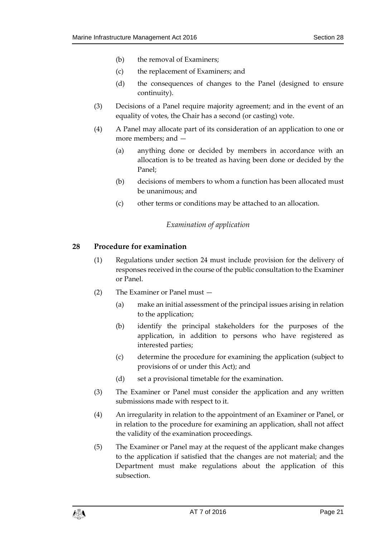- (b) the removal of Examiners;
- (c) the replacement of Examiners; and
- (d) the consequences of changes to the Panel (designed to ensure continuity).
- (3) Decisions of a Panel require majority agreement; and in the event of an equality of votes, the Chair has a second (or casting) vote.
- (4) A Panel may allocate part of its consideration of an application to one or more members; and —
	- (a) anything done or decided by members in accordance with an allocation is to be treated as having been done or decided by the Panel;
	- (b) decisions of members to whom a function has been allocated must be unanimous; and
	- (c) other terms or conditions may be attached to an allocation.

#### *Examination of application*

#### <span id="page-20-1"></span><span id="page-20-0"></span>**28 Procedure for examination**

- (1) Regulations under section [24](#page-18-2) must include provision for the delivery of responses received in the course of the public consultation to the Examiner or Panel.
- (2) The Examiner or Panel must
	- (a) make an initial assessment of the principal issues arising in relation to the application;
	- (b) identify the principal stakeholders for the purposes of the application, in addition to persons who have registered as interested parties;
	- (c) determine the procedure for examining the application (subject to provisions of or under this Act); and
	- (d) set a provisional timetable for the examination.
- (3) The Examiner or Panel must consider the application and any written submissions made with respect to it.
- (4) An irregularity in relation to the appointment of an Examiner or Panel, or in relation to the procedure for examining an application, shall not affect the validity of the examination proceedings.
- (5) The Examiner or Panel may at the request of the applicant make changes to the application if satisfied that the changes are not material; and the Department must make regulations about the application of this subsection.

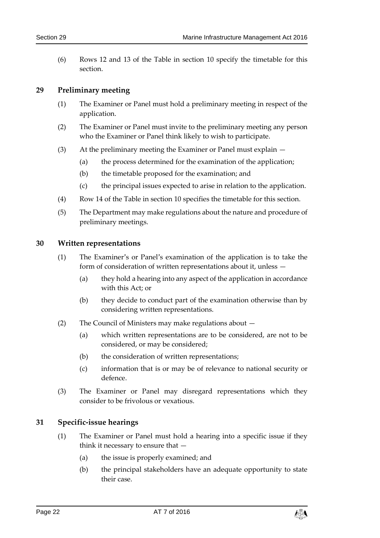(6) Rows 12 and 13 of the Table in section [10](#page-9-1) specify the timetable for this section.

#### <span id="page-21-0"></span>**29 Preliminary meeting**

- (1) The Examiner or Panel must hold a preliminary meeting in respect of the application.
- (2) The Examiner or Panel must invite to the preliminary meeting any person who the Examiner or Panel think likely to wish to participate.
- (3) At the preliminary meeting the Examiner or Panel must explain
	- (a) the process determined for the examination of the application;
	- (b) the timetable proposed for the examination; and
	- (c) the principal issues expected to arise in relation to the application.
- (4) Row 14 of the Table in section [10](#page-9-1) specifies the timetable for this section.
- (5) The Department may make regulations about the nature and procedure of preliminary meetings.

#### <span id="page-21-1"></span>**30 Written representations**

- (1) The Examiner's or Panel's examination of the application is to take the form of consideration of written representations about it, unless —
	- (a) they hold a hearing into any aspect of the application in accordance with this Act; or
	- (b) they decide to conduct part of the examination otherwise than by considering written representations.
- (2) The Council of Ministers may make regulations about
	- (a) which written representations are to be considered, are not to be considered, or may be considered;
	- (b) the consideration of written representations;
	- (c) information that is or may be of relevance to national security or defence.
- (3) The Examiner or Panel may disregard representations which they consider to be frivolous or vexatious.

#### <span id="page-21-2"></span>**31 Specific-issue hearings**

- (1) The Examiner or Panel must hold a hearing into a specific issue if they think it necessary to ensure that —
	- (a) the issue is properly examined; and
	- (b) the principal stakeholders have an adequate opportunity to state their case.

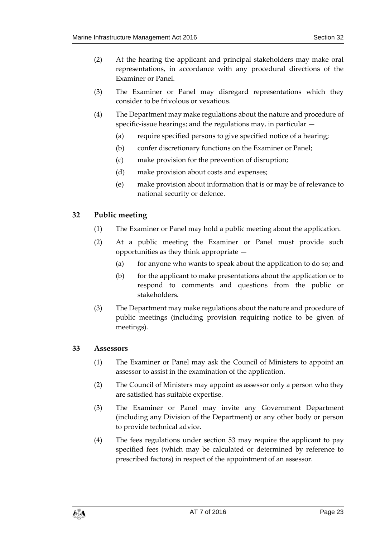- (2) At the hearing the applicant and principal stakeholders may make oral representations, in accordance with any procedural directions of the Examiner or Panel.
- (3) The Examiner or Panel may disregard representations which they consider to be frivolous or vexatious.
- (4) The Department may make regulations about the nature and procedure of specific-issue hearings; and the regulations may, in particular —
	- (a) require specified persons to give specified notice of a hearing;
	- (b) confer discretionary functions on the Examiner or Panel;
	- (c) make provision for the prevention of disruption;
	- (d) make provision about costs and expenses;
	- (e) make provision about information that is or may be of relevance to national security or defence.

#### <span id="page-22-0"></span>**32 Public meeting**

- (1) The Examiner or Panel may hold a public meeting about the application.
- (2) At a public meeting the Examiner or Panel must provide such opportunities as they think appropriate —
	- (a) for anyone who wants to speak about the application to do so; and
	- (b) for the applicant to make presentations about the application or to respond to comments and questions from the public or stakeholders.
- (3) The Department may make regulations about the nature and procedure of public meetings (including provision requiring notice to be given of meetings).

#### <span id="page-22-1"></span>**33 Assessors**

- (1) The Examiner or Panel may ask the Council of Ministers to appoint an assessor to assist in the examination of the application.
- (2) The Council of Ministers may appoint as assessor only a person who they are satisfied has suitable expertise.
- (3) The Examiner or Panel may invite any Government Department (including any Division of the Department) or any other body or person to provide technical advice.
- (4) The fees regulations under section [53](#page-34-1) may require the applicant to pay specified fees (which may be calculated or determined by reference to prescribed factors) in respect of the appointment of an assessor.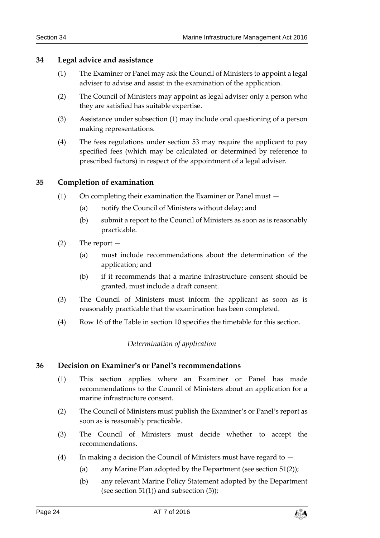#### <span id="page-23-4"></span><span id="page-23-0"></span>**34 Legal advice and assistance**

- (1) The Examiner or Panel may ask the Council of Ministers to appoint a legal adviser to advise and assist in the examination of the application.
- (2) The Council of Ministers may appoint as legal adviser only a person who they are satisfied has suitable expertise.
- (3) Assistance under subsection [\(1\)](#page-23-4) may include oral questioning of a person making representations.
- (4) The fees regulations under section [53](#page-34-1) may require the applicant to pay specified fees (which may be calculated or determined by reference to prescribed factors) in respect of the appointment of a legal adviser.

#### <span id="page-23-1"></span>**35 Completion of examination**

- (1) On completing their examination the Examiner or Panel must
	- (a) notify the Council of Ministers without delay; and
	- (b) submit a report to the Council of Ministers as soon as is reasonably practicable.
- (2) The report
	- (a) must include recommendations about the determination of the application; and
	- (b) if it recommends that a marine infrastructure consent should be granted, must include a draft consent.
- (3) The Council of Ministers must inform the applicant as soon as is reasonably practicable that the examination has been completed.
- <span id="page-23-2"></span>(4) Row 16 of the Table in section [10](#page-9-1) specifies the timetable for this section.

#### *Determination of application*

#### <span id="page-23-3"></span>**36 Decision on Examiner's or Panel's recommendations**

- (1) This section applies where an Examiner or Panel has made recommendations to the Council of Ministers about an application for a marine infrastructure consent.
- (2) The Council of Ministers must publish the Examiner's or Panel's report as soon as is reasonably practicable.
- (3) The Council of Ministers must decide whether to accept the recommendations.
- (4) In making a decision the Council of Ministers must have regard to  $-$ 
	- (a) any Marine Plan adopted by the Department (see section [51\(2\)\)](#page-33-4);
	- (b) any relevant Marine Policy Statement adopted by the Department (see section  $51(1)$ ) and subsection  $(5)$ );

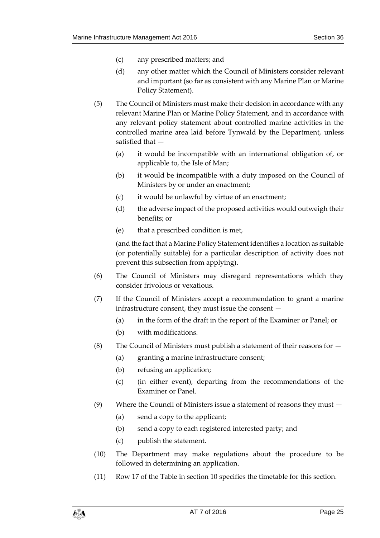- (c) any prescribed matters; and
- (d) any other matter which the Council of Ministers consider relevant and important (so far as consistent with any Marine Plan or Marine Policy Statement).
- <span id="page-24-0"></span>(5) The Council of Ministers must make their decision in accordance with any relevant Marine Plan or Marine Policy Statement, and in accordance with any relevant policy statement about controlled marine activities in the controlled marine area laid before Tynwald by the Department, unless satisfied that —
	- (a) it would be incompatible with an international obligation of, or applicable to, the Isle of Man;
	- (b) it would be incompatible with a duty imposed on the Council of Ministers by or under an enactment;
	- (c) it would be unlawful by virtue of an enactment;
	- (d) the adverse impact of the proposed activities would outweigh their benefits; or
	- (e) that a prescribed condition is met,

(and the fact that a Marine Policy Statement identifies a location as suitable (or potentially suitable) for a particular description of activity does not prevent this subsection from applying).

- (6) The Council of Ministers may disregard representations which they consider frivolous or vexatious.
- (7) If the Council of Ministers accept a recommendation to grant a marine infrastructure consent, they must issue the consent —
	- (a) in the form of the draft in the report of the Examiner or Panel; or
	- (b) with modifications.
- (8) The Council of Ministers must publish a statement of their reasons for  $-$ 
	- (a) granting a marine infrastructure consent;
	- (b) refusing an application;
	- (c) (in either event), departing from the recommendations of the Examiner or Panel.
- (9) Where the Council of Ministers issue a statement of reasons they must
	- (a) send a copy to the applicant;
	- (b) send a copy to each registered interested party; and
	- (c) publish the statement.
- (10) The Department may make regulations about the procedure to be followed in determining an application.
- (11) Row 17 of the Table in section [10](#page-9-1) specifies the timetable for this section.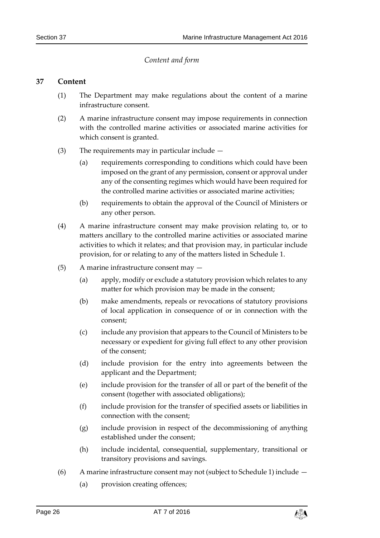#### *Content and form*

#### <span id="page-25-1"></span><span id="page-25-0"></span>**37 Content**

- (1) The Department may make regulations about the content of a marine infrastructure consent.
- (2) A marine infrastructure consent may impose requirements in connection with the controlled marine activities or associated marine activities for which consent is granted.
- (3) The requirements may in particular include
	- (a) requirements corresponding to conditions which could have been imposed on the grant of any permission, consent or approval under any of the consenting regimes which would have been required for the controlled marine activities or associated marine activities;
	- (b) requirements to obtain the approval of the Council of Ministers or any other person.
- (4) A marine infrastructure consent may make provision relating to, or to matters ancillary to the controlled marine activities or associated marine activities to which it relates; and that provision may, in particular include provision, for or relating to any of the matters listed in Schedule 1.
- <span id="page-25-2"></span>(5) A marine infrastructure consent may —
	- (a) apply, modify or exclude a statutory provision which relates to any matter for which provision may be made in the consent;
	- (b) make amendments, repeals or revocations of statutory provisions of local application in consequence of or in connection with the consent;
	- (c) include any provision that appears to the Council of Ministers to be necessary or expedient for giving full effect to any other provision of the consent;
	- (d) include provision for the entry into agreements between the applicant and the Department;
	- (e) include provision for the transfer of all or part of the benefit of the consent (together with associated obligations);
	- (f) include provision for the transfer of specified assets or liabilities in connection with the consent;
	- (g) include provision in respect of the decommissioning of anything established under the consent;
	- (h) include incidental, consequential, supplementary, transitional or transitory provisions and savings.
- (6) A marine infrastructure consent may not (subject to Schedule 1) include
	- (a) provision creating offences;

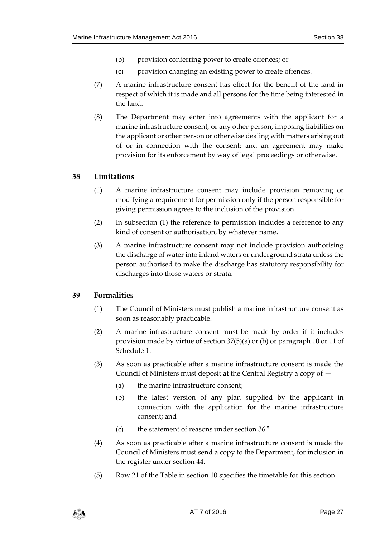- (b) provision conferring power to create offences; or
- (c) provision changing an existing power to create offences.
- (7) A marine infrastructure consent has effect for the benefit of the land in respect of which it is made and all persons for the time being interested in the land.
- (8) The Department may enter into agreements with the applicant for a marine infrastructure consent, or any other person, imposing liabilities on the applicant or other person or otherwise dealing with matters arising out of or in connection with the consent; and an agreement may make provision for its enforcement by way of legal proceedings or otherwise.

#### <span id="page-26-2"></span><span id="page-26-0"></span>**38 Limitations**

- (1) A marine infrastructure consent may include provision removing or modifying a requirement for permission only if the person responsible for giving permission agrees to the inclusion of the provision.
- (2) In subsection [\(1\)](#page-26-2) the reference to permission includes a reference to any kind of consent or authorisation, by whatever name.
- (3) A marine infrastructure consent may not include provision authorising the discharge of water into inland waters or underground strata unless the person authorised to make the discharge has statutory responsibility for discharges into those waters or strata.

#### <span id="page-26-1"></span>**39 Formalities**

- (1) The Council of Ministers must publish a marine infrastructure consent as soon as reasonably practicable.
- <span id="page-26-3"></span>(2) A marine infrastructure consent must be made by order if it includes provision made by virtue of section [37\(5\)\(](#page-25-2)a) or (b) or paragraph 10 or 11 of Schedule 1.
- (3) As soon as practicable after a marine infrastructure consent is made the Council of Ministers must deposit at the Central Registry a copy of —
	- (a) the marine infrastructure consent;
	- (b) the latest version of any plan supplied by the applicant in connection with the application for the marine infrastructure consent; and
	- (c) the statement of reasons under section [36.](#page-23-3) **7**
- (4) As soon as practicable after a marine infrastructure consent is made the Council of Ministers must send a copy to the Department, for inclusion in the register under section [44.](#page-29-0)
- (5) Row 21 of the Table in section [10](#page-9-1) specifies the timetable for this section.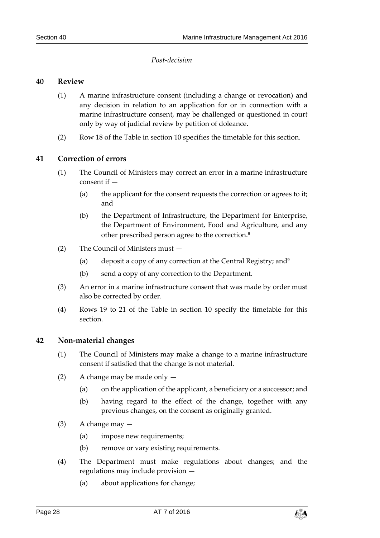#### *Post-decision*

#### <span id="page-27-1"></span><span id="page-27-0"></span>**40 Review**

- (1) A marine infrastructure consent (including a change or revocation) and any decision in relation to an application for or in connection with a marine infrastructure consent, may be challenged or questioned in court only by way of judicial review by petition of doleance.
- (2) Row 18 of the Table in section [10](#page-9-1) specifies the timetable for this section.

#### <span id="page-27-2"></span>**41 Correction of errors**

- (1) The Council of Ministers may correct an error in a marine infrastructure consent if —
	- (a) the applicant for the consent requests the correction or agrees to it; and
	- (b) the Department of Infrastructure, the Department for Enterprise, the Department of Environment, Food and Agriculture, and any other prescribed person agree to the correction.**<sup>8</sup>**
- (2) The Council of Ministers must
	- (a) deposit a copy of any correction at the Central Registry; and**<sup>9</sup>**
	- (b) send a copy of any correction to the Department.
- (3) An error in a marine infrastructure consent that was made by order must also be corrected by order.
- (4) Rows 19 to 21 of the Table in section [10](#page-9-1) specify the timetable for this section.

#### <span id="page-27-3"></span>**42 Non-material changes**

- (1) The Council of Ministers may make a change to a marine infrastructure consent if satisfied that the change is not material.
- (2) A change may be made only
	- (a) on the application of the applicant, a beneficiary or a successor; and
	- (b) having regard to the effect of the change, together with any previous changes, on the consent as originally granted.
- $(3)$  A change may  $-$ 
	- (a) impose new requirements;
	- (b) remove or vary existing requirements.
- (4) The Department must make regulations about changes; and the regulations may include provision —
	- (a) about applications for change;

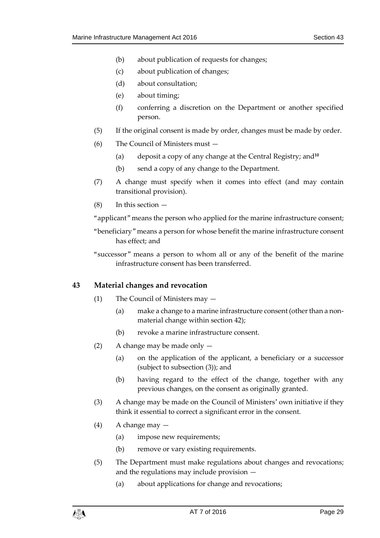- (b) about publication of requests for changes;
- (c) about publication of changes;
- (d) about consultation;
- (e) about timing;
- (f) conferring a discretion on the Department or another specified person.
- (5) If the original consent is made by order, changes must be made by order.
- (6) The Council of Ministers must
	- (a) deposit a copy of any change at the Central Registry; and**<sup>10</sup>**
	- (b) send a copy of any change to the Department.
- (7) A change must specify when it comes into effect (and may contain transitional provision).
- (8) In this section —

"applicant" means the person who applied for the marine infrastructure consent;

- "beneficiary" means a person for whose benefit the marine infrastructure consent has effect; and
- "successor" means a person to whom all or any of the benefit of the marine infrastructure consent has been transferred.

#### <span id="page-28-0"></span>**43 Material changes and revocation**

- (1) The Council of Ministers may
	- (a) make a change to a marine infrastructure consent (other than a nonmaterial change within section [42\)](#page-27-3);
	- (b) revoke a marine infrastructure consent.
- (2) A change may be made only
	- (a) on the application of the applicant, a beneficiary or a successor (subject to subsection [\(3\)\)](#page-28-1); and
	- (b) having regard to the effect of the change, together with any previous changes, on the consent as originally granted.
- <span id="page-28-1"></span>(3) A change may be made on the Council of Ministers' own initiative if they think it essential to correct a significant error in the consent.
- (4) A change may
	- (a) impose new requirements;
	- (b) remove or vary existing requirements.
- <span id="page-28-2"></span>(5) The Department must make regulations about changes and revocations; and the regulations may include provision —
	- (a) about applications for change and revocations;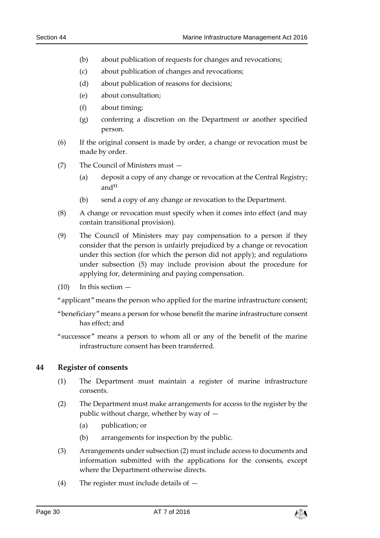- (b) about publication of requests for changes and revocations;
- (c) about publication of changes and revocations;
- (d) about publication of reasons for decisions;
- (e) about consultation;
- (f) about timing;
- (g) conferring a discretion on the Department or another specified person.
- <span id="page-29-2"></span>(6) If the original consent is made by order, a change or revocation must be made by order.
- (7) The Council of Ministers must
	- (a) deposit a copy of any change or revocation at the Central Registry; and**<sup>11</sup>**
	- (b) send a copy of any change or revocation to the Department.
- (8) A change or revocation must specify when it comes into effect (and may contain transitional provision).
- (9) The Council of Ministers may pay compensation to a person if they consider that the person is unfairly prejudiced by a change or revocation under this section (for which the person did not apply); and regulations under subsection [\(5\)](#page-28-2) may include provision about the procedure for applying for, determining and paying compensation.
- $(10)$  In this section  $-$

"applicant" means the person who applied for the marine infrastructure consent;

- "beneficiary" means a person for whose benefit the marine infrastructure consent has effect; and
- "successor" means a person to whom all or any of the benefit of the marine infrastructure consent has been transferred.

#### <span id="page-29-0"></span>**44 Register of consents**

- (1) The Department must maintain a register of marine infrastructure consents.
- <span id="page-29-1"></span>(2) The Department must make arrangements for access to the register by the public without charge, whether by way of —
	- (a) publication; or
	- (b) arrangements for inspection by the public.
- (3) Arrangements under subsectio[n \(2\)](#page-29-1) must include access to documents and information submitted with the applications for the consents, except where the Department otherwise directs.
- (4) The register must include details of —

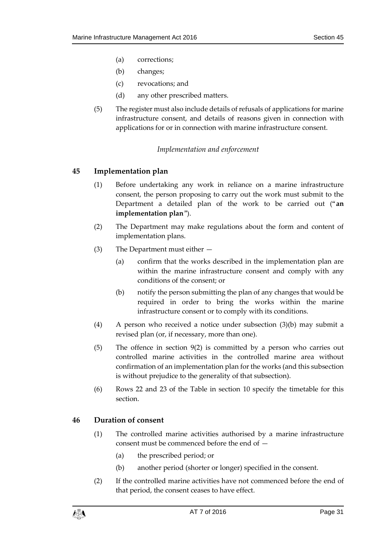- (a) corrections;
- (b) changes;
- (c) revocations; and
- (d) any other prescribed matters.
- (5) The register must also include details of refusals of applications for marine infrastructure consent, and details of reasons given in connection with applications for or in connection with marine infrastructure consent.

#### *Implementation and enforcement*

#### <span id="page-30-1"></span><span id="page-30-0"></span>**45 Implementation plan**

- (1) Before undertaking any work in reliance on a marine infrastructure consent, the person proposing to carry out the work must submit to the Department a detailed plan of the work to be carried out ("**an implementation plan**").
- (2) The Department may make regulations about the form and content of implementation plans.
- <span id="page-30-3"></span>(3) The Department must either —
	- (a) confirm that the works described in the implementation plan are within the marine infrastructure consent and comply with any conditions of the consent; or
	- (b) notify the person submitting the plan of any changes that would be required in order to bring the works within the marine infrastructure consent or to comply with its conditions.
- (4) A person who received a notice under subsection [\(3\)\(](#page-30-3)b) may submit a revised plan (or, if necessary, more than one).
- (5) The offence in section 9(2) is committed by a person who carries out controlled marine activities in the controlled marine area without confirmation of an implementation plan for the works (and this subsection is without prejudice to the generality of that subsection).
- (6) Rows 22 and 23 of the Table in section [10](#page-9-1) specify the timetable for this section.

#### <span id="page-30-2"></span>**46 Duration of consent**

- (1) The controlled marine activities authorised by a marine infrastructure consent must be commenced before the end of —
	- (a) the prescribed period; or
	- (b) another period (shorter or longer) specified in the consent.
- (2) If the controlled marine activities have not commenced before the end of that period, the consent ceases to have effect.

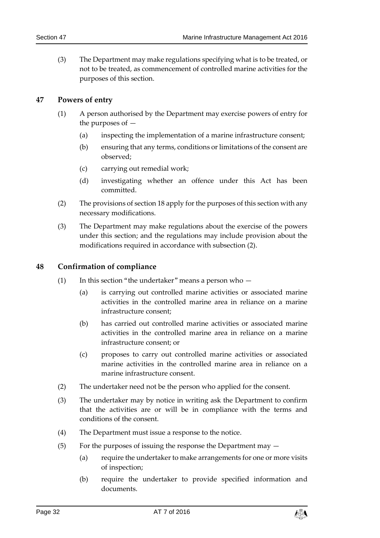(3) The Department may make regulations specifying what is to be treated, or not to be treated, as commencement of controlled marine activities for the purposes of this section.

#### <span id="page-31-0"></span>**47 Powers of entry**

- (1) A person authorised by the Department may exercise powers of entry for the purposes of —
	- (a) inspecting the implementation of a marine infrastructure consent;
	- (b) ensuring that any terms, conditions or limitations of the consent are observed;
	- (c) carrying out remedial work;
	- (d) investigating whether an offence under this Act has been committed.
- (2) The provisions of section [18](#page-15-0) apply for the purposes of this section with any necessary modifications.
- (3) The Department may make regulations about the exercise of the powers under this section; and the regulations may include provision about the modifications required in accordance with subsection (2).

#### <span id="page-31-1"></span>**48 Confirmation of compliance**

- (1) In this section "the undertaker" means a person who  $-$ 
	- (a) is carrying out controlled marine activities or associated marine activities in the controlled marine area in reliance on a marine infrastructure consent;
	- (b) has carried out controlled marine activities or associated marine activities in the controlled marine area in reliance on a marine infrastructure consent; or
	- (c) proposes to carry out controlled marine activities or associated marine activities in the controlled marine area in reliance on a marine infrastructure consent.
- (2) The undertaker need not be the person who applied for the consent.
- <span id="page-31-2"></span>(3) The undertaker may by notice in writing ask the Department to confirm that the activities are or will be in compliance with the terms and conditions of the consent.
- (4) The Department must issue a response to the notice.
- (5) For the purposes of issuing the response the Department may  $-$ 
	- (a) require the undertaker to make arrangements for one or more visits of inspection;
	- (b) require the undertaker to provide specified information and documents.

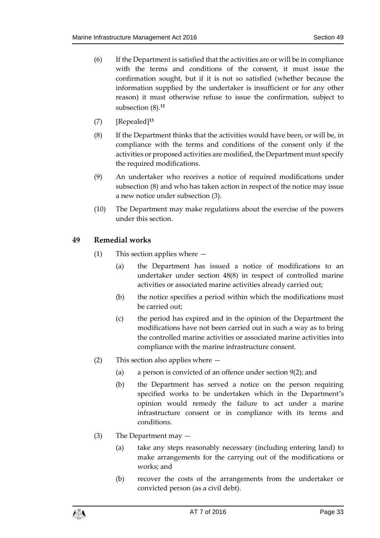- (6) If the Department is satisfied that the activities are or will be in compliance with the terms and conditions of the consent, it must issue the confirmation sought, but if it is not so satisfied (whether because the information supplied by the undertaker is insufficient or for any other reason) it must otherwise refuse to issue the confirmation, subject to subsection (8).**<sup>12</sup>**
- (7) [Repealed]**<sup>13</sup>**
- <span id="page-32-1"></span>(8) If the Department thinks that the activities would have been, or will be, in compliance with the terms and conditions of the consent only if the activities or proposed activities are modified, the Department must specify the required modifications.
- (9) An undertaker who receives a notice of required modifications under subsection [\(8\)](#page-32-1) and who has taken action in respect of the notice may issue a new notice under subsection [\(3\).](#page-31-2)
- (10) The Department may make regulations about the exercise of the powers under this section.

#### <span id="page-32-0"></span>**49 Remedial works**

- (1) This section applies where
	- (a) the Department has issued a notice of modifications to an undertaker under section [48\(8\)](#page-32-1) in respect of controlled marine activities or associated marine activities already carried out;
	- (b) the notice specifies a period within which the modifications must be carried out;
	- (c) the period has expired and in the opinion of the Department the modifications have not been carried out in such a way as to bring the controlled marine activities or associated marine activities into compliance with the marine infrastructure consent.
- (2) This section also applies where
	- (a) a person is convicted of an offence under section [9\(2\);](#page-9-3) and
	- (b) the Department has served a notice on the person requiring specified works to be undertaken which in the Department's opinion would remedy the failure to act under a marine infrastructure consent or in compliance with its terms and conditions.
- (3) The Department may
	- (a) take any steps reasonably necessary (including entering land) to make arrangements for the carrying out of the modifications or works; and
	- (b) recover the costs of the arrangements from the undertaker or convicted person (as a civil debt).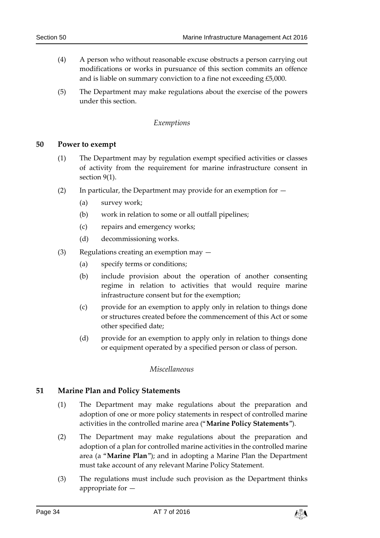- (4) A person who without reasonable excuse obstructs a person carrying out modifications or works in pursuance of this section commits an offence and is liable on summary conviction to a fine not exceeding £5,000.
- <span id="page-33-0"></span>(5) The Department may make regulations about the exercise of the powers under this section.

#### *Exemptions*

#### <span id="page-33-1"></span>**50 Power to exempt**

- (1) The Department may by regulation exempt specified activities or classes of activity from the requirement for marine infrastructure consent in section [9\(1\).](#page-9-2)
- (2) In particular, the Department may provide for an exemption for  $-$ 
	- (a) survey work;
	- (b) work in relation to some or all outfall pipelines;
	- (c) repairs and emergency works;
	- (d) decommissioning works.
- (3) Regulations creating an exemption may
	- (a) specify terms or conditions;
	- (b) include provision about the operation of another consenting regime in relation to activities that would require marine infrastructure consent but for the exemption;
	- (c) provide for an exemption to apply only in relation to things done or structures created before the commencement of this Act or some other specified date;
	- (d) provide for an exemption to apply only in relation to things done or equipment operated by a specified person or class of person.

#### *Miscellaneous*

#### <span id="page-33-5"></span><span id="page-33-3"></span><span id="page-33-2"></span>**51 Marine Plan and Policy Statements**

- (1) The Department may make regulations about the preparation and adoption of one or more policy statements in respect of controlled marine activities in the controlled marine area ("**Marine Policy Statements**").
- <span id="page-33-4"></span>(2) The Department may make regulations about the preparation and adoption of a plan for controlled marine activities in the controlled marine area (a "**Marine Plan**"); and in adopting a Marine Plan the Department must take account of any relevant Marine Policy Statement.
- (3) The regulations must include such provision as the Department thinks appropriate for —

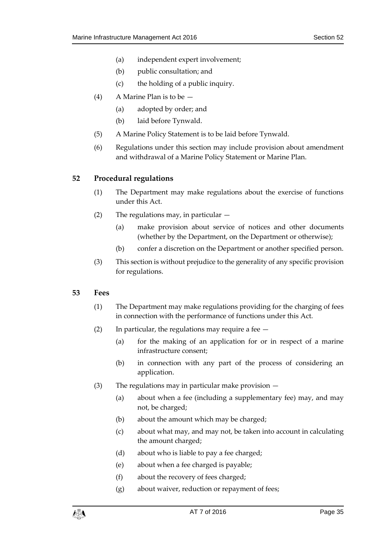- (a) independent expert involvement;
- (b) public consultation; and
- (c) the holding of a public inquiry.
- (4) A Marine Plan is to be
	- (a) adopted by order; and
	- (b) laid before Tynwald.
- (5) A Marine Policy Statement is to be laid before Tynwald.
- (6) Regulations under this section may include provision about amendment and withdrawal of a Marine Policy Statement or Marine Plan.

#### <span id="page-34-0"></span>**52 Procedural regulations**

- (1) The Department may make regulations about the exercise of functions under this Act.
- (2) The regulations may, in particular
	- (a) make provision about service of notices and other documents (whether by the Department, on the Department or otherwise);
	- (b) confer a discretion on the Department or another specified person.
- (3) This section is without prejudice to the generality of any specific provision for regulations.

#### <span id="page-34-1"></span>**53 Fees**

- (1) The Department may make regulations providing for the charging of fees in connection with the performance of functions under this Act.
- (2) In particular, the regulations may require a fee  $-$ 
	- (a) for the making of an application for or in respect of a marine infrastructure consent;
	- (b) in connection with any part of the process of considering an application.
- (3) The regulations may in particular make provision
	- (a) about when a fee (including a supplementary fee) may, and may not, be charged;
	- (b) about the amount which may be charged;
	- (c) about what may, and may not, be taken into account in calculating the amount charged;
	- (d) about who is liable to pay a fee charged;
	- (e) about when a fee charged is payable;
	- (f) about the recovery of fees charged;
	- (g) about waiver, reduction or repayment of fees;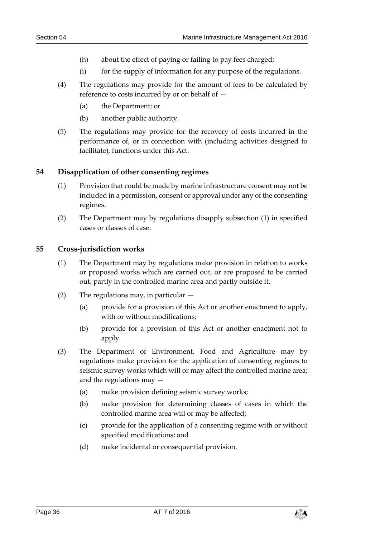- (h) about the effect of paying or failing to pay fees charged;
- (i) for the supply of information for any purpose of the regulations.
- (4) The regulations may provide for the amount of fees to be calculated by reference to costs incurred by or on behalf of —
	- (a) the Department; or
	- (b) another public authority.
- (5) The regulations may provide for the recovery of costs incurred in the performance of, or in connection with (including activities designed to facilitate), functions under this Act.

#### <span id="page-35-2"></span><span id="page-35-0"></span>**54 Disapplication of other consenting regimes**

- (1) Provision that could be made by marine infrastructure consent may not be included in a permission, consent or approval under any of the consenting regimes.
- (2) The Department may by regulations disapply subsection [\(1\)](#page-35-2) in specified cases or classes of case.

#### <span id="page-35-1"></span>**55 Cross-jurisdiction works**

- (1) The Department may by regulations make provision in relation to works or proposed works which are carried out, or are proposed to be carried out, partly in the controlled marine area and partly outside it.
- (2) The regulations may, in particular  $-$ 
	- (a) provide for a provision of this Act or another enactment to apply, with or without modifications;
	- (b) provide for a provision of this Act or another enactment not to apply.
- (3) The Department of Environment, Food and Agriculture may by regulations make provision for the application of consenting regimes to seismic survey works which will or may affect the controlled marine area; and the regulations may —
	- (a) make provision defining seismic survey works;
	- (b) make provision for determining classes of cases in which the controlled marine area will or may be affected;
	- (c) provide for the application of a consenting regime with or without specified modifications; and
	- (d) make incidental or consequential provision.

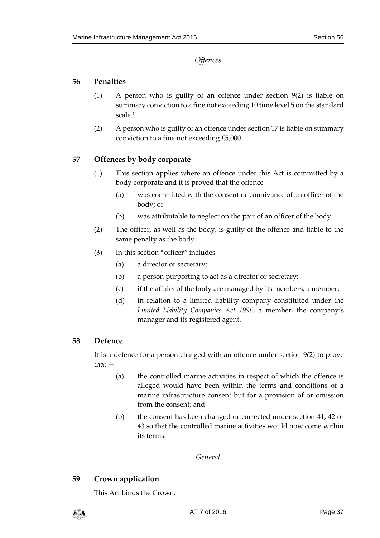*Offences*

#### <span id="page-36-1"></span><span id="page-36-0"></span>**56 Penalties**

- (1) A person who is guilty of an offence under section [9\(2\)](#page-9-3) is liable on summary conviction to a fine not exceeding 10 time level 5 on the standard scale. **14**
- (2) A person who is guilty of an offence under section [17](#page-14-3) is liable on summary conviction to a fine not exceeding £5,000.

#### <span id="page-36-2"></span>**57 Offences by body corporate**

- (1) This section applies where an offence under this Act is committed by a body corporate and it is proved that the offence —
	- (a) was committed with the consent or connivance of an officer of the body; or
	- (b) was attributable to neglect on the part of an officer of the body.
- (2) The officer, as well as the body, is guilty of the offence and liable to the same penalty as the body.
- (3) In this section "officer" includes
	- (a) a director or secretary;
	- (b) a person purporting to act as a director or secretary;
	- (c) if the affairs of the body are managed by its members, a member;
	- (d) in relation to a limited liability company constituted under the *Limited Liability Companies Act 1996*, a member, the company's manager and its registered agent.

#### <span id="page-36-3"></span>**58 Defence**

It is a defence for a person charged with an offence under section [9\(2\)](#page-9-3) to prove that —

- (a) the controlled marine activities in respect of which the offence is alleged would have been within the terms and conditions of a marine infrastructure consent but for a provision of or omission from the consent; and
- (b) the consent has been changed or corrected under section [41,](#page-27-2) [42](#page-27-3) or [43](#page-28-0) so that the controlled marine activities would now come within its terms.

*General*

#### <span id="page-36-5"></span><span id="page-36-4"></span>**59 Crown application**

This Act binds the Crown.

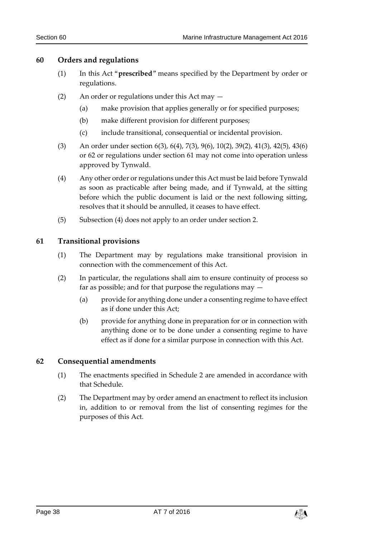#### <span id="page-37-0"></span>**60 Orders and regulations**

- (1) In this Act "**prescribed**" means specified by the Department by order or regulations.
- (2) An order or regulations under this Act may
	- (a) make provision that applies generally or for specified purposes;
	- (b) make different provision for different purposes;
	- (c) include transitional, consequential or incidental provision.
- (3) An order under section [6\(3\),](#page-7-6) [6\(4\),](#page-8-4) [7\(3\),](#page-8-5) [9\(6\),](#page-9-4) 10(2), [39\(2\),](#page-26-3) 41(3), 42(5), [43\(6\)](#page-29-2) or [62](#page-37-2) or regulations under section [61](#page-37-1) may not come into operation unless approved by Tynwald.
- <span id="page-37-3"></span>(4) Any other order or regulations under this Act must be laid before Tynwald as soon as practicable after being made, and if Tynwald, at the sitting before which the public document is laid or the next following sitting, resolves that it should be annulled, it ceases to have effect.
- (5) Subsection [\(4\)](#page-37-3) does not apply to an order under section [2.](#page-6-1)

#### <span id="page-37-1"></span>**61 Transitional provisions**

- (1) The Department may by regulations make transitional provision in connection with the commencement of this Act.
- (2) In particular, the regulations shall aim to ensure continuity of process so far as possible; and for that purpose the regulations may —
	- (a) provide for anything done under a consenting regime to have effect as if done under this Act;
	- (b) provide for anything done in preparation for or in connection with anything done or to be done under a consenting regime to have effect as if done for a similar purpose in connection with this Act.

#### <span id="page-37-2"></span>**62 Consequential amendments**

- (1) The enactments specified in Schedule 2 are amended in accordance with that Schedule.
- (2) The Department may by order amend an enactment to reflect its inclusion in, addition to or removal from the list of consenting regimes for the purposes of this Act.

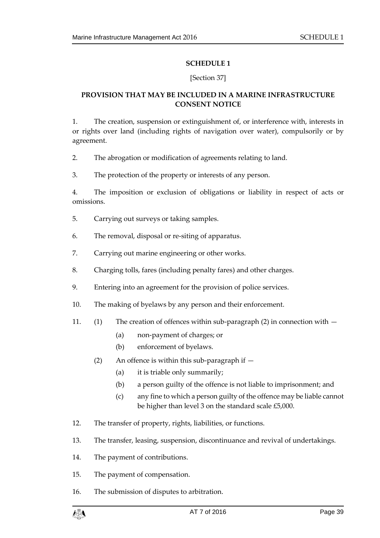#### **SCHEDULE 1**

#### [Section 37]

#### <span id="page-38-1"></span><span id="page-38-0"></span>**PROVISION THAT MAY BE INCLUDED IN A MARINE INFRASTRUCTURE CONSENT NOTICE**

1. The creation, suspension or extinguishment of, or interference with, interests in or rights over land (including rights of navigation over water), compulsorily or by agreement.

2. The abrogation or modification of agreements relating to land.

3. The protection of the property or interests of any person.

4. The imposition or exclusion of obligations or liability in respect of acts or omissions.

- 5. Carrying out surveys or taking samples.
- 6. The removal, disposal or re-siting of apparatus.
- 7. Carrying out marine engineering or other works.
- 8. Charging tolls, fares (including penalty fares) and other charges.
- 9. Entering into an agreement for the provision of police services.
- 10. The making of byelaws by any person and their enforcement.
- 11. (1) The creation of offences within sub-paragraph (2) in connection with
	- (a) non-payment of charges; or
	- (b) enforcement of byelaws.
	- (2) An offence is within this sub-paragraph if  $-$ 
		- (a) it is triable only summarily;
		- (b) a person guilty of the offence is not liable to imprisonment; and
		- (c) any fine to which a person guilty of the offence may be liable cannot be higher than level 3 on the standard scale £5,000.
- 12. The transfer of property, rights, liabilities, or functions.
- 13. The transfer, leasing, suspension, discontinuance and revival of undertakings.
- 14. The payment of contributions.
- 15. The payment of compensation.
- 16. The submission of disputes to arbitration.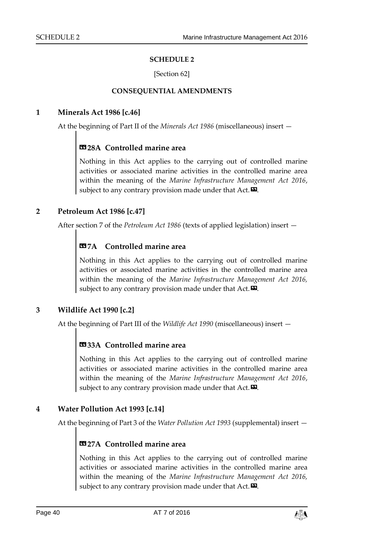#### **SCHEDULE 2**

[Section 62]

#### **CONSEQUENTIAL AMENDMENTS**

#### <span id="page-39-1"></span><span id="page-39-0"></span>**1 Minerals Act 1986 [c.46]**

At the beginning of Part II of the *Minerals Act 1986* (miscellaneous) insert —

### **«28A Controlled marine area**

Nothing in this Act applies to the carrying out of controlled marine activities or associated marine activities in the controlled marine area within the meaning of the *Marine Infrastructure Management Act 2016*, subject to any contrary provision made under that  $Act. \nabla$ .

#### **2 Petroleum Act 1986 [c.47]**

After section 7 of the *Petroleum Act 1986* (texts of applied legislation) insert —

### **«7A Controlled marine area**

Nothing in this Act applies to the carrying out of controlled marine activities or associated marine activities in the controlled marine area within the meaning of the *Marine Infrastructure Management Act 2016,* subject to any contrary provision made under that Act.<sup>2</sup>.

#### **3 Wildlife Act 1990 [c.2]**

At the beginning of Part III of the *Wildlife Act 1990* (miscellaneous) insert —

### **«33A Controlled marine area**

Nothing in this Act applies to the carrying out of controlled marine activities or associated marine activities in the controlled marine area within the meaning of the *Marine Infrastructure Management Act 2016*, subject to any contrary provision made under that  $Act.\n **2**$ .

#### **4 Water Pollution Act 1993 [c.14]**

At the beginning of Part 3 of the *Water Pollution Act 1993* (supplemental) insert —

### **«27A Controlled marine area**

Nothing in this Act applies to the carrying out of controlled marine activities or associated marine activities in the controlled marine area within the meaning of the *Marine Infrastructure Management Act 2016,*  subject to any contrary provision made under that  $Act.\n\n $\blacksquare$ .$ 

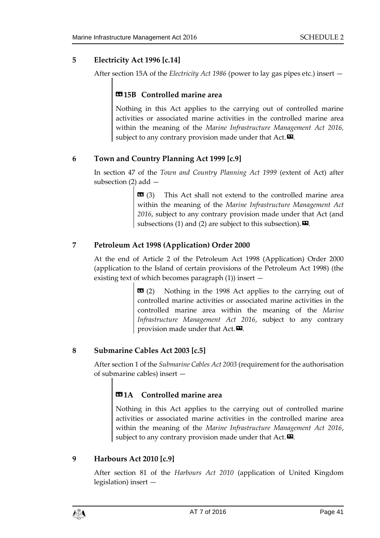#### **5 Electricity Act 1996 [c.14]**

After section 15A of the *Electricity Act 1986* (power to lay gas pipes etc.) insert —

#### **«15B Controlled marine area**

Nothing in this Act applies to the carrying out of controlled marine activities or associated marine activities in the controlled marine area within the meaning of the *Marine Infrastructure Management Act 2016,* subject to any contrary provision made under that  $Act.\n\n $\blacksquare$ .$ 

#### **6 Town and Country Planning Act 1999 [c.9]**

In section 47 of the *Town and Country Planning Act 1999* (extent of Act) after subsection (2) add —

> $\bullet$  (3) This Act shall not extend to the controlled marine area within the meaning of the *Marine Infrastructure Management Act 2016*, subject to any contrary provision made under that Act (and subsections (1) and (2) are subject to this subsection).  $\boldsymbol{\mathsf{\Xi}}$ .

#### **7 Petroleum Act 1998 (Application) Order 2000**

At the end of Article 2 of the Petroleum Act 1998 (Application) Order 2000 (application to the Island of certain provisions of the Petroleum Act 1998) (the existing text of which becomes paragraph (1)) insert —

> $\bullet$  **(2)** Nothing in the 1998 Act applies to the carrying out of controlled marine activities or associated marine activities in the controlled marine area within the meaning of the *Marine Infrastructure Management Act 2016*, subject to any contrary provision made under that Act. $\boldsymbol{\mathsf{\Xi}}$ .

#### **8 Submarine Cables Act 2003 [c.5]**

After section 1 of the *Submarine Cables Act 2003* (requirement for the authorisation of submarine cables) insert —

#### **«1A Controlled marine area**

Nothing in this Act applies to the carrying out of controlled marine activities or associated marine activities in the controlled marine area within the meaning of the *Marine Infrastructure Management Act 2016*, subject to any contrary provision made under that  $Act. \n<sup>2</sup>$ .

#### **9 Harbours Act 2010 [c.9]**

After section 81 of the *Harbours Act 2010* (application of United Kingdom legislation) insert —

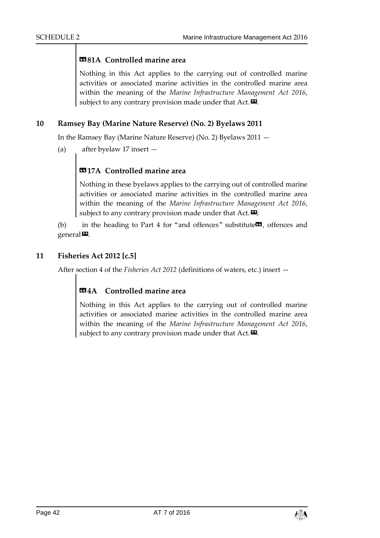#### **«81A Controlled marine area**

Nothing in this Act applies to the carrying out of controlled marine activities or associated marine activities in the controlled marine area within the meaning of the *Marine Infrastructure Management Act 2016*, subject to any contrary provision made under that Act. $\boldsymbol{\Sigma}$ .

#### **10 Ramsey Bay (Marine Nature Reserve) (No. 2) Byelaws 2011**

In the Ramsey Bay (Marine Nature Reserve) (No. 2) Byelaws 2011 —

(a) after byelaw 17 insert —

### **«17A Controlled marine area**

Nothing in these byelaws applies to the carrying out of controlled marine activities or associated marine activities in the controlled marine area within the meaning of the *Marine Infrastructure Management Act 2016*, subject to any contrary provision made under that  $Act.\n **2**;$ 

(b) in the heading to Part 4 for "and offences" substitute $\mathbf{G}$ , offences and general<sup>D</sup>.

#### **11 Fisheries Act 2012 [c.5]**

After section 4 of the *Fisheries Act 2012* (definitions of waters, etc.) insert —

#### **«4A Controlled marine area**

Nothing in this Act applies to the carrying out of controlled marine activities or associated marine activities in the controlled marine area within the meaning of the *Marine Infrastructure Management Act 2016*, subject to any contrary provision made under that  $Act.\n\n $\blacksquare$ .$